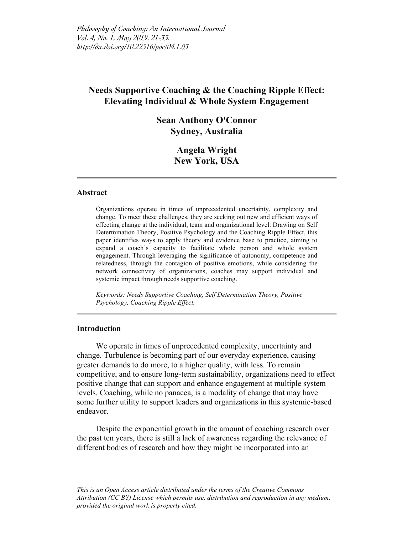# **Needs Supportive Coaching & the Coaching Ripple Effect: Elevating Individual & Whole System Engagement**

# **Sean Anthony O'Connor Sydney, Australia**

# **Angela Wright New York, USA**

#### **Abstract**

Organizations operate in times of unprecedented uncertainty, complexity and change. To meet these challenges, they are seeking out new and efficient ways of effecting change at the individual, team and organizational level. Drawing on Self Determination Theory, Positive Psychology and the Coaching Ripple Effect, this paper identifies ways to apply theory and evidence base to practice, aiming to expand a coach's capacity to facilitate whole person and whole system engagement. Through leveraging the significance of autonomy, competence and relatedness, through the contagion of positive emotions, while considering the network connectivity of organizations, coaches may support individual and systemic impact through needs supportive coaching.

*Keywords: Needs Supportive Coaching, Self Determination Theory, Positive Psychology, Coaching Ripple Effect.*

### **Introduction**

We operate in times of unprecedented complexity, uncertainty and change. Turbulence is becoming part of our everyday experience, causing greater demands to do more, to a higher quality, with less. To remain competitive, and to ensure long-term sustainability, organizations need to effect positive change that can support and enhance engagement at multiple system levels. Coaching, while no panacea, is a modality of change that may have some further utility to support leaders and organizations in this systemic-based endeavor.

Despite the exponential growth in the amount of coaching research over the past ten years, there is still a lack of awareness regarding the relevance of different bodies of research and how they might be incorporated into an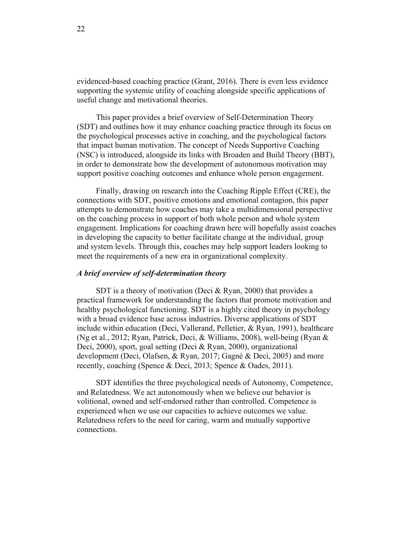evidenced-based coaching practice (Grant, 2016). There is even less evidence supporting the systemic utility of coaching alongside specific applications of useful change and motivational theories.

This paper provides a brief overview of Self-Determination Theory (SDT) and outlines how it may enhance coaching practice through its focus on the psychological processes active in coaching, and the psychological factors that impact human motivation. The concept of Needs Supportive Coaching (NSC) is introduced, alongside its links with Broaden and Build Theory (BBT), in order to demonstrate how the development of autonomous motivation may support positive coaching outcomes and enhance whole person engagement.

Finally, drawing on research into the Coaching Ripple Effect (CRE), the connections with SDT, positive emotions and emotional contagion, this paper attempts to demonstrate how coaches may take a multidimensional perspective on the coaching process in support of both whole person and whole system engagement. Implications for coaching drawn here will hopefully assist coaches in developing the capacity to better facilitate change at the individual, group and system levels. Through this, coaches may help support leaders looking to meet the requirements of a new era in organizational complexity.

#### *A brief overview of self-determination theory*

SDT is a theory of motivation (Deci & Ryan, 2000) that provides a practical framework for understanding the factors that promote motivation and healthy psychological functioning. SDT is a highly cited theory in psychology with a broad evidence base across industries. Diverse applications of SDT include within education (Deci, Vallerand, Pelletier, & Ryan, 1991), healthcare (Ng et al., 2012; Ryan, Patrick, Deci, & Williams, 2008), well-being (Ryan & Deci, 2000), sport, goal setting (Deci & Ryan, 2000), organizational development (Deci, Olafsen, & Ryan, 2017; Gagné & Deci, 2005) and more recently, coaching (Spence & Deci, 2013; Spence & Oades, 2011).

SDT identifies the three psychological needs of Autonomy, Competence, and Relatedness. We act autonomously when we believe our behavior is volitional, owned and self-endorsed rather than controlled. Competence is experienced when we use our capacities to achieve outcomes we value. Relatedness refers to the need for caring, warm and mutually supportive connections.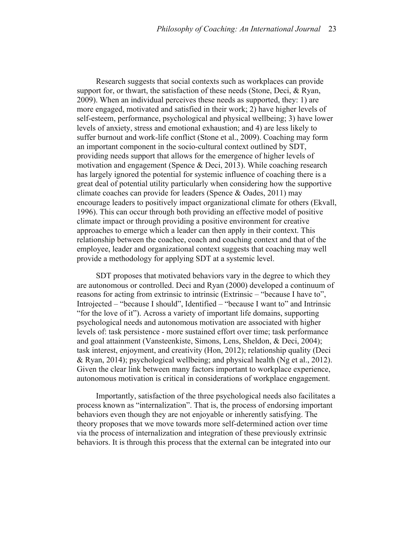Research suggests that social contexts such as workplaces can provide support for, or thwart, the satisfaction of these needs (Stone, Deci, & Ryan, 2009). When an individual perceives these needs as supported, they: 1) are more engaged, motivated and satisfied in their work; 2) have higher levels of self-esteem, performance, psychological and physical wellbeing; 3) have lower levels of anxiety, stress and emotional exhaustion; and 4) are less likely to suffer burnout and work-life conflict (Stone et al., 2009). Coaching may form an important component in the socio-cultural context outlined by SDT, providing needs support that allows for the emergence of higher levels of motivation and engagement (Spence & Deci, 2013). While coaching research has largely ignored the potential for systemic influence of coaching there is a great deal of potential utility particularly when considering how the supportive climate coaches can provide for leaders (Spence & Oades, 2011) may encourage leaders to positively impact organizational climate for others (Ekvall, 1996). This can occur through both providing an effective model of positive climate impact or through providing a positive environment for creative approaches to emerge which a leader can then apply in their context. This relationship between the coachee, coach and coaching context and that of the employee, leader and organizational context suggests that coaching may well provide a methodology for applying SDT at a systemic level.

SDT proposes that motivated behaviors vary in the degree to which they are autonomous or controlled. Deci and Ryan (2000) developed a continuum of reasons for acting from extrinsic to intrinsic (Extrinsic – "because I have to", Introjected – "because I should", Identified – "because I want to" and Intrinsic "for the love of it"). Across a variety of important life domains, supporting psychological needs and autonomous motivation are associated with higher levels of: task persistence - more sustained effort over time; task performance and goal attainment (Vansteenkiste, Simons, Lens, Sheldon, & Deci, 2004); task interest, enjoyment, and creativity (Hon, 2012); relationship quality (Deci & Ryan, 2014); psychological wellbeing; and physical health (Ng et al., 2012). Given the clear link between many factors important to workplace experience, autonomous motivation is critical in considerations of workplace engagement.

Importantly, satisfaction of the three psychological needs also facilitates a process known as "internalization". That is, the process of endorsing important behaviors even though they are not enjoyable or inherently satisfying. The theory proposes that we move towards more self-determined action over time via the process of internalization and integration of these previously extrinsic behaviors. It is through this process that the external can be integrated into our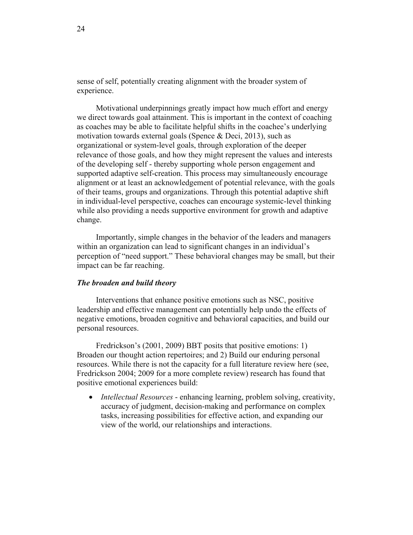sense of self, potentially creating alignment with the broader system of experience.

Motivational underpinnings greatly impact how much effort and energy we direct towards goal attainment. This is important in the context of coaching as coaches may be able to facilitate helpful shifts in the coachee's underlying motivation towards external goals (Spence & Deci, 2013), such as organizational or system-level goals, through exploration of the deeper relevance of those goals, and how they might represent the values and interests of the developing self - thereby supporting whole person engagement and supported adaptive self-creation. This process may simultaneously encourage alignment or at least an acknowledgement of potential relevance, with the goals of their teams, groups and organizations. Through this potential adaptive shift in individual-level perspective, coaches can encourage systemic-level thinking while also providing a needs supportive environment for growth and adaptive change.

Importantly, simple changes in the behavior of the leaders and managers within an organization can lead to significant changes in an individual's perception of "need support." These behavioral changes may be small, but their impact can be far reaching.

#### *The broaden and build theory*

Interventions that enhance positive emotions such as NSC, positive leadership and effective management can potentially help undo the effects of negative emotions, broaden cognitive and behavioral capacities, and build our personal resources.

Fredrickson's (2001, 2009) BBT posits that positive emotions: 1) Broaden our thought action repertoires; and 2) Build our enduring personal resources. While there is not the capacity for a full literature review here (see, Fredrickson 2004; 2009 for a more complete review) research has found that positive emotional experiences build:

• *Intellectual Resources* - enhancing learning, problem solving, creativity, accuracy of judgment, decision-making and performance on complex tasks, increasing possibilities for effective action, and expanding our view of the world, our relationships and interactions.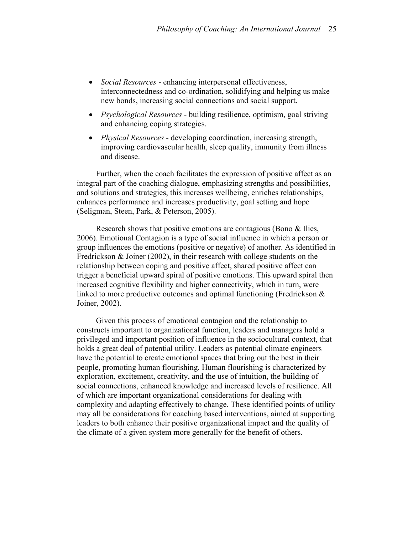- *Social Resources* enhancing interpersonal effectiveness, interconnectedness and co-ordination, solidifying and helping us make new bonds, increasing social connections and social support.
- *Psychological Resources* building resilience, optimism, goal striving and enhancing coping strategies.
- *Physical Resources* developing coordination, increasing strength, improving cardiovascular health, sleep quality, immunity from illness and disease.

Further, when the coach facilitates the expression of positive affect as an integral part of the coaching dialogue, emphasizing strengths and possibilities, and solutions and strategies, this increases wellbeing, enriches relationships, enhances performance and increases productivity, goal setting and hope (Seligman, Steen, Park, & Peterson, 2005).

Research shows that positive emotions are contagious (Bono & Ilies, 2006). Emotional Contagion is a type of social influence in which a person or group influences the emotions (positive or negative) of another. As identified in Fredrickson & Joiner (2002), in their research with college students on the relationship between coping and positive affect, shared positive affect can trigger a beneficial upward spiral of positive emotions. This upward spiral then increased cognitive flexibility and higher connectivity, which in turn, were linked to more productive outcomes and optimal functioning (Fredrickson & Joiner, 2002).

Given this process of emotional contagion and the relationship to constructs important to organizational function, leaders and managers hold a privileged and important position of influence in the sociocultural context, that holds a great deal of potential utility. Leaders as potential climate engineers have the potential to create emotional spaces that bring out the best in their people, promoting human flourishing. Human flourishing is characterized by exploration, excitement, creativity, and the use of intuition, the building of social connections, enhanced knowledge and increased levels of resilience. All of which are important organizational considerations for dealing with complexity and adapting effectively to change. These identified points of utility may all be considerations for coaching based interventions, aimed at supporting leaders to both enhance their positive organizational impact and the quality of the climate of a given system more generally for the benefit of others.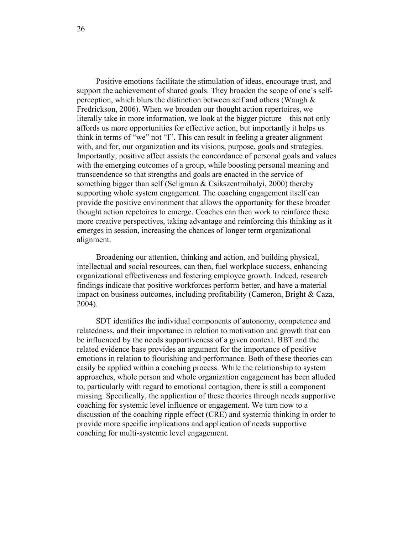Positive emotions facilitate the stimulation of ideas, encourage trust, and support the achievement of shared goals. They broaden the scope of one's selfperception, which blurs the distinction between self and others (Waugh & Fredrickson, 2006). When we broaden our thought action repertoires, we literally take in more information, we look at the bigger picture – this not only affords us more opportunities for effective action, but importantly it helps us think in terms of "we" not "I". This can result in feeling a greater alignment with, and for, our organization and its visions, purpose, goals and strategies. Importantly, positive affect assists the concordance of personal goals and values with the emerging outcomes of a group, while boosting personal meaning and transcendence so that strengths and goals are enacted in the service of something bigger than self (Seligman & Csikszentmihalyi, 2000) thereby supporting whole system engagement. The coaching engagement itself can provide the positive environment that allows the opportunity for these broader thought action repetoires to emerge. Coaches can then work to reinforce these more creative perspectives, taking advantage and reinforcing this thinking as it emerges in session, increasing the chances of longer term organizational alignment.

Broadening our attention, thinking and action, and building physical, intellectual and social resources, can then, fuel workplace success, enhancing organizational effectiveness and fostering employee growth. Indeed, research findings indicate that positive workforces perform better, and have a material impact on business outcomes, including profitability (Cameron, Bright & Caza, 2004).

SDT identifies the individual components of autonomy, competence and relatedness, and their importance in relation to motivation and growth that can be influenced by the needs supportiveness of a given context. BBT and the related evidence base provides an argument for the importance of positive emotions in relation to flourishing and performance. Both of these theories can easily be applied within a coaching process. While the relationship to system approaches, whole person and whole organization engagement has been alluded to, particularly with regard to emotional contagion, there is still a component missing. Specifically, the application of these theories through needs supportive coaching for systemic level influence or engagement. We turn now to a discussion of the coaching ripple effect (CRE) and systemic thinking in order to provide more specific implications and application of needs supportive coaching for multi-systemic level engagement.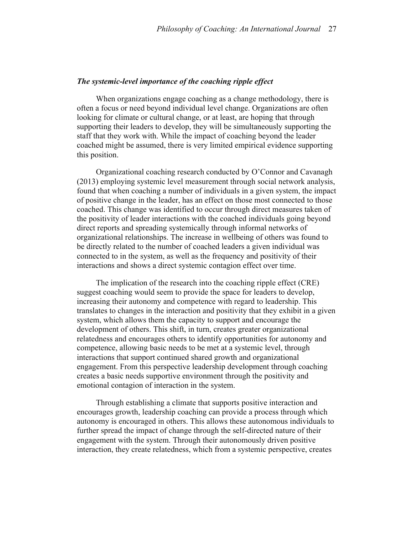## *The systemic-level importance of the coaching ripple effect*

When organizations engage coaching as a change methodology, there is often a focus or need beyond individual level change. Organizations are often looking for climate or cultural change, or at least, are hoping that through supporting their leaders to develop, they will be simultaneously supporting the staff that they work with. While the impact of coaching beyond the leader coached might be assumed, there is very limited empirical evidence supporting this position.

Organizational coaching research conducted by O'Connor and Cavanagh (2013) employing systemic level measurement through social network analysis, found that when coaching a number of individuals in a given system, the impact of positive change in the leader, has an effect on those most connected to those coached. This change was identified to occur through direct measures taken of the positivity of leader interactions with the coached individuals going beyond direct reports and spreading systemically through informal networks of organizational relationships. The increase in wellbeing of others was found to be directly related to the number of coached leaders a given individual was connected to in the system, as well as the frequency and positivity of their interactions and shows a direct systemic contagion effect over time.

The implication of the research into the coaching ripple effect (CRE) suggest coaching would seem to provide the space for leaders to develop, increasing their autonomy and competence with regard to leadership. This translates to changes in the interaction and positivity that they exhibit in a given system, which allows them the capacity to support and encourage the development of others. This shift, in turn, creates greater organizational relatedness and encourages others to identify opportunities for autonomy and competence, allowing basic needs to be met at a systemic level, through interactions that support continued shared growth and organizational engagement. From this perspective leadership development through coaching creates a basic needs supportive environment through the positivity and emotional contagion of interaction in the system.

Through establishing a climate that supports positive interaction and encourages growth, leadership coaching can provide a process through which autonomy is encouraged in others. This allows these autonomous individuals to further spread the impact of change through the self-directed nature of their engagement with the system. Through their autonomously driven positive interaction, they create relatedness, which from a systemic perspective, creates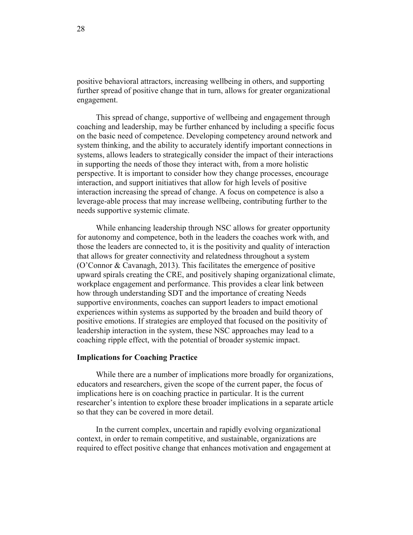positive behavioral attractors, increasing wellbeing in others, and supporting further spread of positive change that in turn, allows for greater organizational engagement.

This spread of change, supportive of wellbeing and engagement through coaching and leadership, may be further enhanced by including a specific focus on the basic need of competence. Developing competency around network and system thinking, and the ability to accurately identify important connections in systems, allows leaders to strategically consider the impact of their interactions in supporting the needs of those they interact with, from a more holistic perspective. It is important to consider how they change processes, encourage interaction, and support initiatives that allow for high levels of positive interaction increasing the spread of change. A focus on competence is also a leverage-able process that may increase wellbeing, contributing further to the needs supportive systemic climate.

While enhancing leadership through NSC allows for greater opportunity for autonomy and competence, both in the leaders the coaches work with, and those the leaders are connected to, it is the positivity and quality of interaction that allows for greater connectivity and relatedness throughout a system (O'Connor & Cavanagh, 2013). This facilitates the emergence of positive upward spirals creating the CRE, and positively shaping organizational climate, workplace engagement and performance. This provides a clear link between how through understanding SDT and the importance of creating Needs supportive environments, coaches can support leaders to impact emotional experiences within systems as supported by the broaden and build theory of positive emotions. If strategies are employed that focused on the positivity of leadership interaction in the system, these NSC approaches may lead to a coaching ripple effect, with the potential of broader systemic impact.

#### **Implications for Coaching Practice**

While there are a number of implications more broadly for organizations, educators and researchers, given the scope of the current paper, the focus of implications here is on coaching practice in particular. It is the current researcher's intention to explore these broader implications in a separate article so that they can be covered in more detail.

In the current complex, uncertain and rapidly evolving organizational context, in order to remain competitive, and sustainable, organizations are required to effect positive change that enhances motivation and engagement at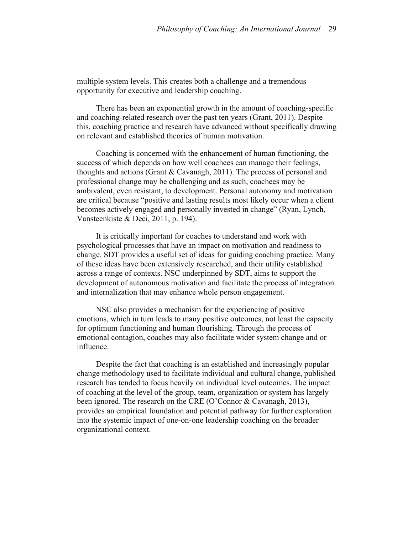multiple system levels. This creates both a challenge and a tremendous opportunity for executive and leadership coaching.

There has been an exponential growth in the amount of coaching-specific and coaching-related research over the past ten years (Grant, 2011). Despite this, coaching practice and research have advanced without specifically drawing on relevant and established theories of human motivation.

Coaching is concerned with the enhancement of human functioning, the success of which depends on how well coachees can manage their feelings, thoughts and actions (Grant & Cavanagh, 2011). The process of personal and professional change may be challenging and as such, coachees may be ambivalent, even resistant, to development. Personal autonomy and motivation are critical because "positive and lasting results most likely occur when a client becomes actively engaged and personally invested in change" (Ryan, Lynch, Vansteenkiste & Deci, 2011, p. 194).

It is critically important for coaches to understand and work with psychological processes that have an impact on motivation and readiness to change. SDT provides a useful set of ideas for guiding coaching practice. Many of these ideas have been extensively researched, and their utility established across a range of contexts. NSC underpinned by SDT, aims to support the development of autonomous motivation and facilitate the process of integration and internalization that may enhance whole person engagement.

NSC also provides a mechanism for the experiencing of positive emotions, which in turn leads to many positive outcomes, not least the capacity for optimum functioning and human flourishing. Through the process of emotional contagion, coaches may also facilitate wider system change and or influence.

Despite the fact that coaching is an established and increasingly popular change methodology used to facilitate individual and cultural change, published research has tended to focus heavily on individual level outcomes. The impact of coaching at the level of the group, team, organization or system has largely been ignored. The research on the CRE (O'Connor & Cavanagh, 2013), provides an empirical foundation and potential pathway for further exploration into the systemic impact of one-on-one leadership coaching on the broader organizational context.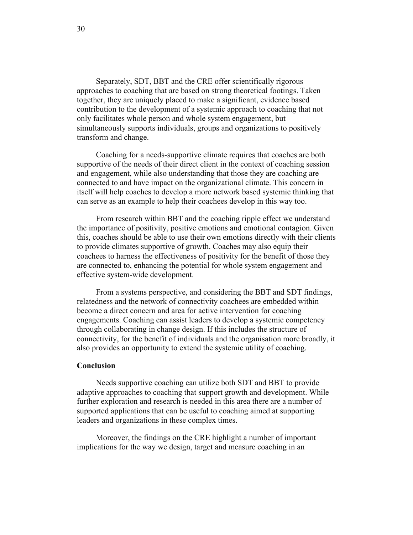Separately, SDT, BBT and the CRE offer scientifically rigorous approaches to coaching that are based on strong theoretical footings. Taken together, they are uniquely placed to make a significant, evidence based contribution to the development of a systemic approach to coaching that not only facilitates whole person and whole system engagement, but simultaneously supports individuals, groups and organizations to positively transform and change.

Coaching for a needs-supportive climate requires that coaches are both supportive of the needs of their direct client in the context of coaching session and engagement, while also understanding that those they are coaching are connected to and have impact on the organizational climate. This concern in itself will help coaches to develop a more network based systemic thinking that can serve as an example to help their coachees develop in this way too.

From research within BBT and the coaching ripple effect we understand the importance of positivity, positive emotions and emotional contagion. Given this, coaches should be able to use their own emotions directly with their clients to provide climates supportive of growth. Coaches may also equip their coachees to harness the effectiveness of positivity for the benefit of those they are connected to, enhancing the potential for whole system engagement and effective system-wide development.

From a systems perspective, and considering the BBT and SDT findings, relatedness and the network of connectivity coachees are embedded within become a direct concern and area for active intervention for coaching engagements. Coaching can assist leaders to develop a systemic competency through collaborating in change design. If this includes the structure of connectivity, for the benefit of individuals and the organisation more broadly, it also provides an opportunity to extend the systemic utility of coaching.

#### **Conclusion**

Needs supportive coaching can utilize both SDT and BBT to provide adaptive approaches to coaching that support growth and development. While further exploration and research is needed in this area there are a number of supported applications that can be useful to coaching aimed at supporting leaders and organizations in these complex times.

Moreover, the findings on the CRE highlight a number of important implications for the way we design, target and measure coaching in an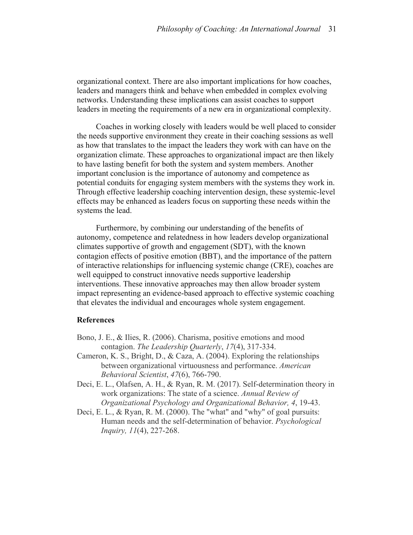organizational context. There are also important implications for how coaches, leaders and managers think and behave when embedded in complex evolving networks. Understanding these implications can assist coaches to support leaders in meeting the requirements of a new era in organizational complexity.

Coaches in working closely with leaders would be well placed to consider the needs supportive environment they create in their coaching sessions as well as how that translates to the impact the leaders they work with can have on the organization climate. These approaches to organizational impact are then likely to have lasting benefit for both the system and system members. Another important conclusion is the importance of autonomy and competence as potential conduits for engaging system members with the systems they work in. Through effective leadership coaching intervention design, these systemic-level effects may be enhanced as leaders focus on supporting these needs within the systems the lead.

Furthermore, by combining our understanding of the benefits of autonomy, competence and relatedness in how leaders develop organizational climates supportive of growth and engagement (SDT), with the known contagion effects of positive emotion (BBT), and the importance of the pattern of interactive relationships for influencing systemic change (CRE), coaches are well equipped to construct innovative needs supportive leadership interventions. These innovative approaches may then allow broader system impact representing an evidence-based approach to effective systemic coaching that elevates the individual and encourages whole system engagement.

## **References**

- Bono, J. E., & Ilies, R. (2006). Charisma, positive emotions and mood contagion. *The Leadership Quarterly*, *17*(4), 317-334.
- Cameron, K. S., Bright, D., & Caza, A. (2004). Exploring the relationships between organizational virtuousness and performance. *American Behavioral Scientist*, *47*(6), 766-790.
- Deci, E. L., Olafsen, A. H., & Ryan, R. M. (2017). Self-determination theory in work organizations: The state of a science. *Annual Review of Organizational Psychology and Organizational Behavior, 4*, 19-43.
- Deci, E. L., & Ryan, R. M. (2000). The "what" and "why" of goal pursuits: Human needs and the self-determination of behavior. *Psychological Inquiry, 11*(4), 227-268.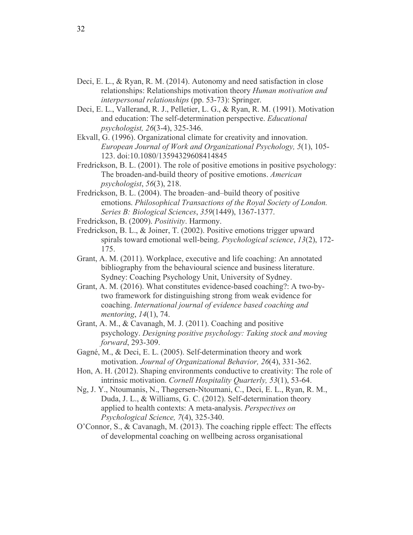- Deci, E. L., & Ryan, R. M. (2014). Autonomy and need satisfaction in close relationships: Relationships motivation theory *Human motivation and interpersonal relationships* (pp. 53-73): Springer.
- Deci, E. L., Vallerand, R. J., Pelletier, L. G., & Ryan, R. M. (1991). Motivation and education: The self-determination perspective. *Educational psychologist, 26*(3-4), 325-346.
- Ekvall, G. (1996). Organizational climate for creativity and innovation. *European Journal of Work and Organizational Psychology, 5*(1), 105- 123. doi:10.1080/13594329608414845
- Fredrickson, B. L. (2001). The role of positive emotions in positive psychology: The broaden-and-build theory of positive emotions. *American psychologist*, *56*(3), 218.
- Fredrickson, B. L. (2004). The broaden–and–build theory of positive emotions. *Philosophical Transactions of the Royal Society of London. Series B: Biological Sciences*, *359*(1449), 1367-1377.
- Fredrickson, B. (2009). *Positivity*. Harmony.
- Fredrickson, B. L., & Joiner, T. (2002). Positive emotions trigger upward spirals toward emotional well-being. *Psychological science*, *13*(2), 172- 175.
- Grant, A. M. (2011). Workplace, executive and life coaching: An annotated bibliography from the behavioural science and business literature. Sydney: Coaching Psychology Unit, University of Sydney.
- Grant, A. M. (2016). What constitutes evidence-based coaching?: A two-bytwo framework for distinguishing strong from weak evidence for coaching. *International journal of evidence based coaching and mentoring*, *14*(1), 74.
- Grant, A. M., & Cavanagh, M. J. (2011). Coaching and positive psychology. *Designing positive psychology: Taking stock and moving forward*, 293-309.
- Gagné, M., & Deci, E. L. (2005). Self-determination theory and work motivation. *Journal of Organizational Behavior, 26*(4), 331-362.
- Hon, A. H. (2012). Shaping environments conductive to creativity: The role of intrinsic motivation. *Cornell Hospitality Quarterly, 53*(1), 53-64.
- Ng, J. Y., Ntoumanis, N., Thøgersen-Ntoumani, C., Deci, E. L., Ryan, R. M., Duda, J. L., & Williams, G. C. (2012). Self-determination theory applied to health contexts: A meta-analysis. *Perspectives on Psychological Science, 7*(4), 325-340.
- O'Connor, S., & Cavanagh, M. (2013). The coaching ripple effect: The effects of developmental coaching on wellbeing across organisational